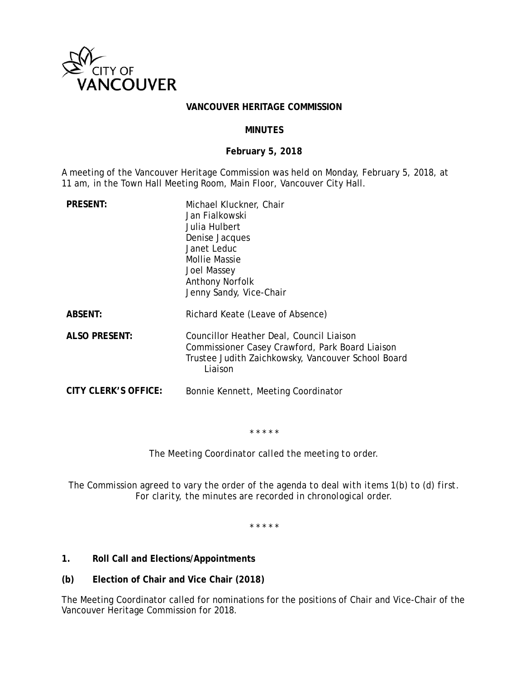

#### **VANCOUVER HERITAGE COMMISSION**

## **MINUTES**

## **February 5, 2018**

A meeting of the Vancouver Heritage Commission was held on Monday, February 5, 2018, at 11 am, in the Town Hall Meeting Room, Main Floor, Vancouver City Hall.

| <b>PRESENT:</b>      | Michael Kluckner, Chair<br>Jan Fialkowski<br>Julia Hulbert<br>Denise Jacques<br>Janet Leduc<br>Mollie Massie<br>Joel Massey<br><b>Anthony Norfolk</b><br>Jenny Sandy, Vice-Chair |
|----------------------|----------------------------------------------------------------------------------------------------------------------------------------------------------------------------------|
| <b>ABSENT:</b>       | Richard Keate (Leave of Absence)                                                                                                                                                 |
| <b>ALSO PRESENT:</b> | Councillor Heather Deal, Council Liaison<br>Commissioner Casey Crawford, Park Board Liaison<br>Trustee Judith Zaichkowsky, Vancouver School Board<br>Liaison                     |
| CITY CLERK'S OFFICE: | Bonnie Kennett, Meeting Coordinator                                                                                                                                              |

\* \* \* \* \*

*The Meeting Coordinator called the meeting to order.* 

*The Commission agreed to vary the order of the agenda to deal with items 1(b) to (d) first. For clarity, the minutes are recorded in chronological order.* 

*\* \* \* \* \** 

- **1. Roll Call and Elections/Appointments**
- **(b) Election of Chair and Vice Chair (2018)**

The Meeting Coordinator called for nominations for the positions of Chair and Vice-Chair of the Vancouver Heritage Commission for 2018.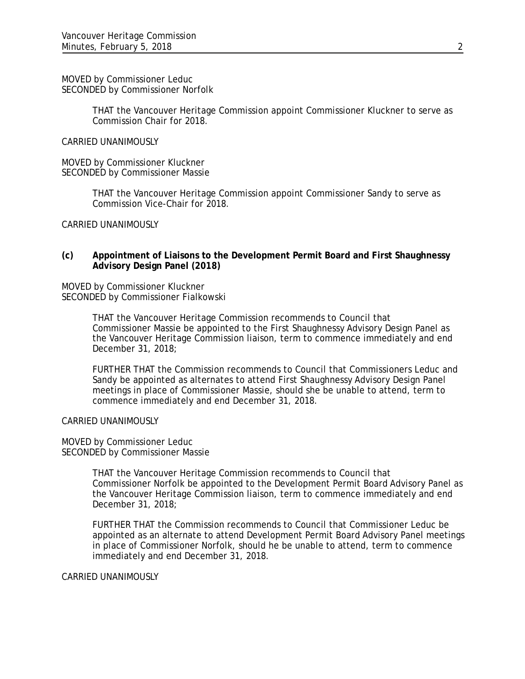MOVED by Commissioner Leduc SECONDED by Commissioner Norfolk

> THAT the Vancouver Heritage Commission appoint Commissioner Kluckner to serve as Commission Chair for 2018.

#### CARRIED UNANIMOUSLY

MOVED by Commissioner Kluckner SECONDED by Commissioner Massie

> THAT the Vancouver Heritage Commission appoint Commissioner Sandy to serve as Commission Vice-Chair for 2018.

CARRIED UNANIMOUSLY

#### **(c) Appointment of Liaisons to the Development Permit Board and First Shaughnessy Advisory Design Panel (2018)**

MOVED by Commissioner Kluckner SECONDED by Commissioner Fialkowski

> THAT the Vancouver Heritage Commission recommends to Council that Commissioner Massie be appointed to the First Shaughnessy Advisory Design Panel as the Vancouver Heritage Commission liaison, term to commence immediately and end December 31, 2018;

FURTHER THAT the Commission recommends to Council that Commissioners Leduc and Sandy be appointed as alternates to attend First Shaughnessy Advisory Design Panel meetings in place of Commissioner Massie, should she be unable to attend, term to commence immediately and end December 31, 2018.

CARRIED UNANIMOUSLY

MOVED by Commissioner Leduc SECONDED by Commissioner Massie

> THAT the Vancouver Heritage Commission recommends to Council that Commissioner Norfolk be appointed to the Development Permit Board Advisory Panel as the Vancouver Heritage Commission liaison, term to commence immediately and end December 31, 2018;

> FURTHER THAT the Commission recommends to Council that Commissioner Leduc be appointed as an alternate to attend Development Permit Board Advisory Panel meetings in place of Commissioner Norfolk, should he be unable to attend, term to commence immediately and end December 31, 2018.

CARRIED UNANIMOUSLY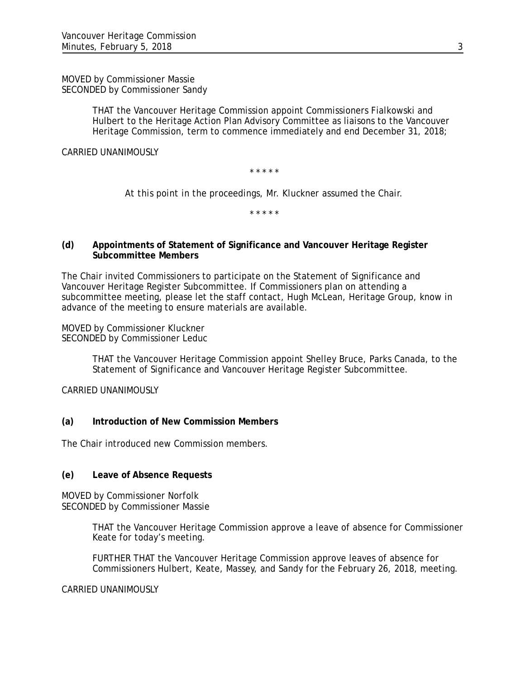MOVED by Commissioner Massie SECONDED by Commissioner Sandy

> THAT the Vancouver Heritage Commission appoint Commissioners Fialkowski and Hulbert to the Heritage Action Plan Advisory Committee as liaisons to the Vancouver Heritage Commission, term to commence immediately and end December 31, 2018;

CARRIED UNANIMOUSLY

\* \* \* \* \*

*At this point in the proceedings, Mr. Kluckner assumed the Chair.* 

*\* \* \* \* \** 

## **(d) Appointments of Statement of Significance and Vancouver Heritage Register Subcommittee Members**

The Chair invited Commissioners to participate on the Statement of Significance and Vancouver Heritage Register Subcommittee. If Commissioners plan on attending a subcommittee meeting, please let the staff contact, Hugh McLean, Heritage Group, know in advance of the meeting to ensure materials are available.

MOVED by Commissioner Kluckner SECONDED by Commissioner Leduc

> THAT the Vancouver Heritage Commission appoint Shelley Bruce, Parks Canada, to the Statement of Significance and Vancouver Heritage Register Subcommittee.

CARRIED UNANIMOUSLY

#### **(a) Introduction of New Commission Members**

The Chair introduced new Commission members.

#### **(e) Leave of Absence Requests**

MOVED by Commissioner Norfolk SECONDED by Commissioner Massie

> THAT the Vancouver Heritage Commission approve a leave of absence for Commissioner Keate for today's meeting.

FURTHER THAT the Vancouver Heritage Commission approve leaves of absence for Commissioners Hulbert, Keate, Massey, and Sandy for the February 26, 2018, meeting.

CARRIED UNANIMOUSLY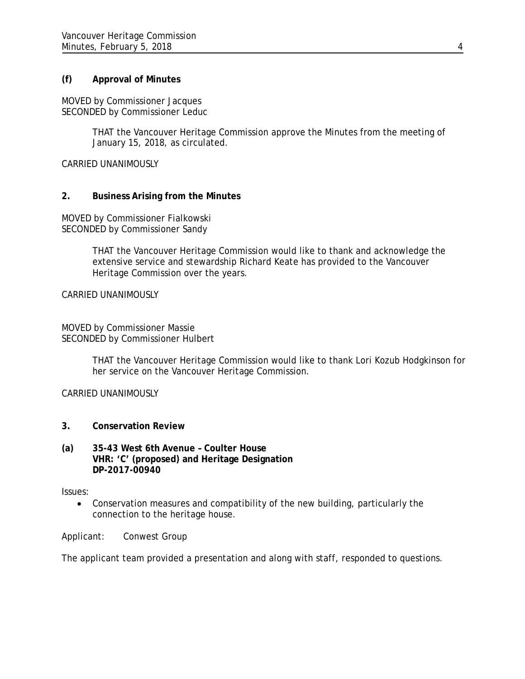## **(f) Approval of Minutes**

MOVED by Commissioner Jacques SECONDED by Commissioner Leduc

> THAT the Vancouver Heritage Commission approve the Minutes from the meeting of January 15, 2018, as circulated.

CARRIED UNANIMOUSLY

## **2. Business Arising from the Minutes**

MOVED by Commissioner Fialkowski SECONDED by Commissioner Sandy

> THAT the Vancouver Heritage Commission would like to thank and acknowledge the extensive service and stewardship Richard Keate has provided to the Vancouver Heritage Commission over the years.

CARRIED UNANIMOUSLY

MOVED by Commissioner Massie SECONDED by Commissioner Hulbert

> THAT the Vancouver Heritage Commission would like to thank Lori Kozub Hodgkinson for her service on the Vancouver Heritage Commission.

CARRIED UNANIMOUSLY

- **3. Conservation Review**
- **(a) 35-43 West 6th Avenue Coulter House VHR: 'C' (proposed) and Heritage Designation DP-2017-00940**

Issues:

 Conservation measures and compatibility of the new building, particularly the connection to the heritage house.

Applicant: Conwest Group

The applicant team provided a presentation and along with staff, responded to questions.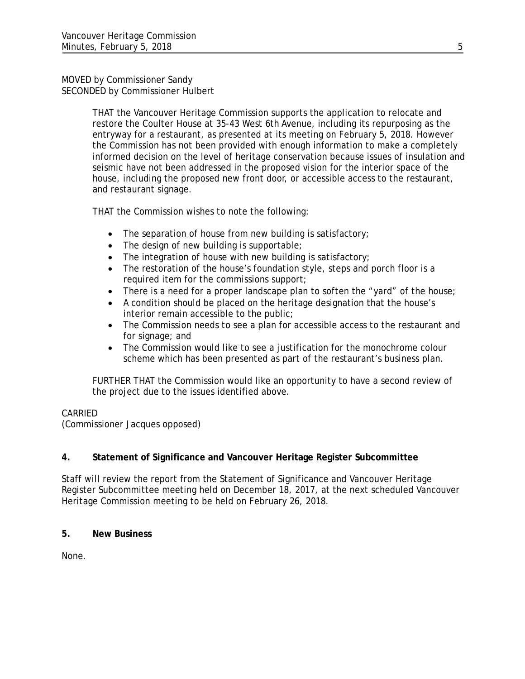### MOVED by Commissioner Sandy SECONDED by Commissioner Hulbert

THAT the Vancouver Heritage Commission supports the application to relocate and restore the Coulter House at 35-43 West 6th Avenue, including its repurposing as the entryway for a restaurant, as presented at its meeting on February 5, 2018. However the Commission has not been provided with enough information to make a completely informed decision on the level of heritage conservation because issues of insulation and seismic have not been addressed in the proposed vision for the interior space of the house, including the proposed new front door, or accessible access to the restaurant, and restaurant signage.

THAT the Commission wishes to note the following:

- The separation of house from new building is satisfactory;
- The design of new building is supportable;
- The integration of house with new building is satisfactory;
- The restoration of the house's foundation style, steps and porch floor is a required item for the commissions support;
- There is a need for a proper landscape plan to soften the "yard" of the house;
- A condition should be placed on the heritage designation that the house's interior remain accessible to the public;
- The Commission needs to see a plan for accessible access to the restaurant and for signage; and
- The Commission would like to see a justification for the monochrome colour scheme which has been presented as part of the restaurant's business plan.

FURTHER THAT the Commission would like an opportunity to have a second review of the project due to the issues identified above.

# CARRIED

(Commissioner Jacques opposed)

# **4. Statement of Significance and Vancouver Heritage Register Subcommittee**

Staff will review the report from the Statement of Significance and Vancouver Heritage Register Subcommittee meeting held on December 18, 2017, at the next scheduled Vancouver Heritage Commission meeting to be held on February 26, 2018.

# **5. New Business**

None.